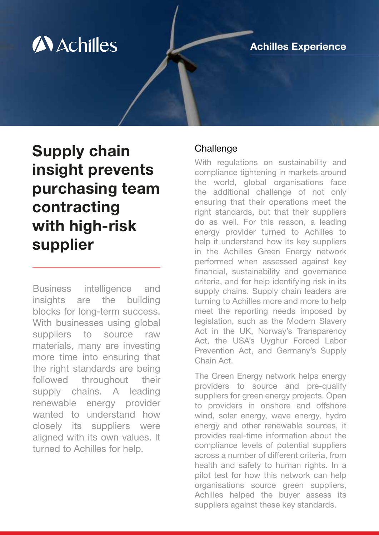# **A** Achilles

### Achilles Experience

# Supply chain insight prevents purchasing team contracting with high-risk supplier

Business intelligence and insights are the building blocks for long-term success. With businesses using global suppliers to source raw materials, many are investing more time into ensuring that the right standards are being followed throughout their supply chains. A leading renewable energy provider wanted to understand how closely its suppliers were aligned with its own values. It turned to Achilles for help.

#### **Challenge**

With regulations on sustainability and compliance tightening in markets around the world, global organisations face the additional challenge of not only ensuring that their operations meet the right standards, but that their suppliers do as well. For this reason, a leading energy provider turned to Achilles to help it understand how its key suppliers in the Achilles Green Energy network performed when assessed against key financial, sustainability and governance criteria, and for help identifying risk in its supply chains. Supply chain leaders are turning to Achilles more and more to help meet the reporting needs imposed by legislation, such as the Modern Slavery Act in the UK, Norway's Transparency Act, the USA's Uyghur Forced Labor Prevention Act, and Germany's Supply Chain Act.

The Green Energy network helps energy providers to source and pre-qualify suppliers for green energy projects. Open to providers in onshore and offshore wind, solar energy, wave energy, hydro energy and other renewable sources, it provides real-time information about the compliance levels of potential suppliers across a number of different criteria, from health and safety to human rights. In a pilot test for how this network can help organisations source green suppliers, Achilles helped the buyer assess its suppliers against these key standards.